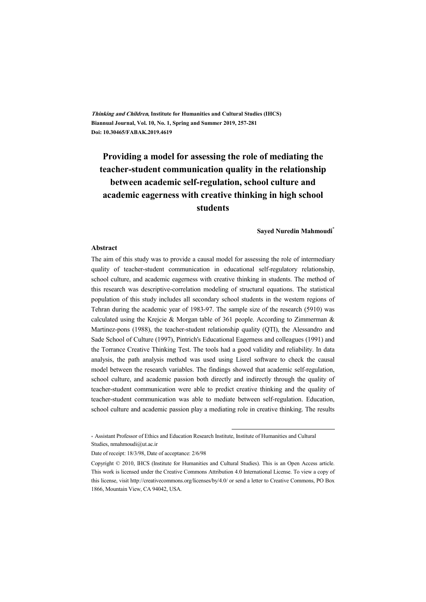**Thinking and Children, Institute for Humanities and Cultural Studies (IHCS) Biannual Journal, Vol. 10, No. 1, Spring and Summer 2019, 257-281 Doi: 10.30465/FABAK.2019.4619** 

# **Providing a model for assessing the role of mediating the teacher-student communication quality in the relationship between academic self-regulation, school culture and academic eagerness with creative thinking in high school students**

**Sayed Nuredin Mahmoudi\***

#### **Abstract**

The aim of this study was to provide a causal model for assessing the role of intermediary quality of teacher-student communication in educational self-regulatory relationship, school culture, and academic eagerness with creative thinking in students. The method of this research was descriptive-correlation modeling of structural equations. The statistical population of this study includes all secondary school students in the western regions of Tehran during the academic year of 1983-97. The sample size of the research (5910) was calculated using the Krejcie & Morgan table of 361 people. According to Zimmerman & Martinez-pons (1988), the teacher-student relationship quality (QTI), the Alessandro and Sade School of Culture (1997), Pintrich's Educational Eagerness and colleagues (1991) and the Torrance Creative Thinking Test. The tools had a good validity and reliability. In data analysis, the path analysis method was used using Lisrel software to check the causal model between the research variables. The findings showed that academic self-regulation, school culture, and academic passion both directly and indirectly through the quality of teacher-student communication were able to predict creative thinking and the quality of teacher-student communication was able to mediate between self-regulation. Education, school culture and academic passion play a mediating role in creative thinking. The results

:

<sup>\*</sup> Assistant Professor of Ethics and Education Research Institute, Institute of Humanities and Cultural Studies, nmahmoudi@ut.ac.ir

Date of receipt: 18/3/98, Date of acceptance: 2/6/98

Copyright © 2010, IHCS (Institute for Humanities and Cultural Studies). This is an Open Access article. This work is licensed under the Creative Commons Attribution 4.0 International License. To view a copy of this license, visit http://creativecommons.org/licenses/by/4.0/ or send a letter to Creative Commons, PO Box 1866, Mountain View, CA 94042, USA.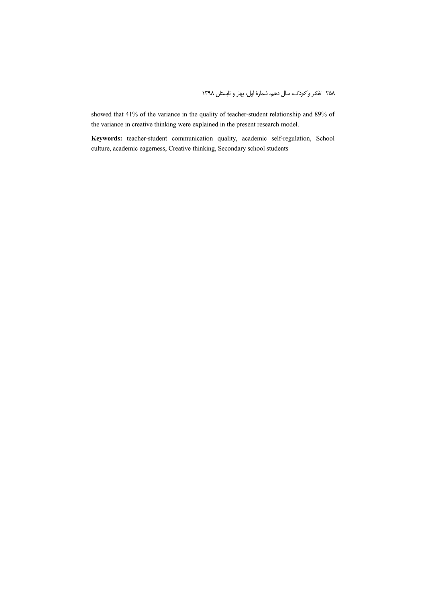showed that 41% of the variance in the quality of teacher-student relationship and 89% of the variance in creative thinking were explained in the present research model.

**Keywords:** teacher-student communication quality, academic self-regulation, School culture, academic eagerness, Creative thinking, Secondary school students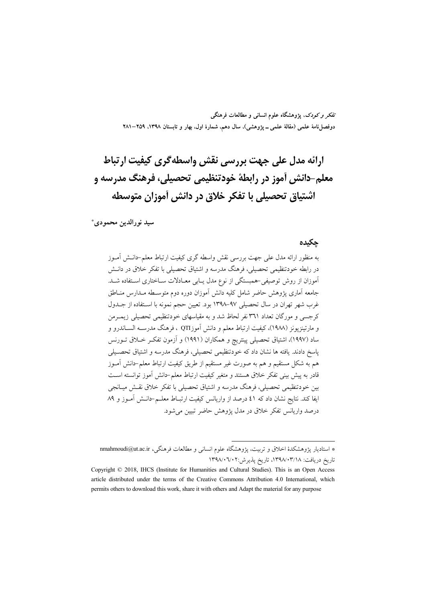تفکر و کودک، یژوهشگاه علوم انسانی و مطالعات فرهنگی دوفصلiامهٔ علمی (مقالهٔ علمی ــ پژوهشی)، سال دهم، شمارهٔ اول، بهار و تابستان ۱۳۹۸، ۲۵۹–۲۸۱

# ارائه مدل علی جهت بررسی نقش واسطه گری کیفیت ارتباط معلم-دانش آموز در رابطهٔ خودتنظیمی تحصیلی، فرهنگ مدرسه و اشتیاق تحصیلی با تفکر خلاق در دانش آموزان متوسطه

سيد نورالدين محمودي\*

#### حكىدە

به منظور ارائه مدل على جهت بررسي نقش واسطه گرى كيفيت ارتباط معلم–دانــش آمــوز در رابطه خودتنظیمی تحصیلی، فرهنگ مدرسه و اشتیاق تحصیلی با تفکر خلاق در دانــش آموزان از روش توصیفی–همبستگی از نوع مدل پابی معـادلات سـاختاری اسـتفاده شــد. جامعه آماری پژوهش حاضر شامل کلیه دانش آموزان دوره دوم متوسـطه مــدارس منــاطق غرب شهر تهران در سال تحصیلی ۹۷–۱۳۹۸ بود. تعیین حجم نمونه با استفاده از جـدول کرجسی و مورگان تعداد ۳۶۱ نفر لحاظ شد و به مقیاسهای خودتنظیمی تحصیلی زیمـرمن و مارتینزیونز (۱۹۸۸)، کیفیت ارتباط معلم و دانش آموزQTI ، فرهنگ مدرســه الســاندرو و ساد (۱۹۹۷)، اشتیاق تحصیلی پینتریچ و همکاران (۱۹۹۱) و آزمون تفکر خـلاق تــورنس پاسخ دادند. یافته ها نشان داد که خودتنظیمی تحصیلی، فرهنگ مدرسه و اشتیاق تحصـیلی هم به شکل مستقیم و هم به صورت غیر مستقیم از طریق کیفیت ارتباط معلم-دانش آمـوز قادر به پیش بینی تفکر خلاق هستند و متغیر کیفیت ارتباط معلم–دانش آموز توانسته اسـت بين خودتنظيمي تحصيلي، فرهنگ مدرسه و اشتياق تحصيلي با تفكر خلاق نقـش ميــانجي ايفا كند. نتايج نشان داد كه ٤١ درصد از واريانس كيفيت ارتبـاط معلــم-دانـش أمــوز و ٨٩ درصد واريانس تفكر خلاق در مدل يؤوهش حاضر تبيين مي شود.

<sup>\*</sup> استادیار پژوهشکدهٔ اخلاق و تربیت، پژوهشگاه علوم انسانی و مطالعات فرهنگی، nmahmoudi@ut.ac.ir تاريخ دريافت: ١٣٩٨/٠٣/١٨، تاريخ پذيرش:١٣٩٨/٠٦/٠٢

Copyright © 2018, IHCS (Institute for Humanities and Cultural Studies). This is an Open Access article distributed under the terms of the Creative Commons Attribution 4.0 International, which permits others to download this work, share it with others and Adapt the material for any purpose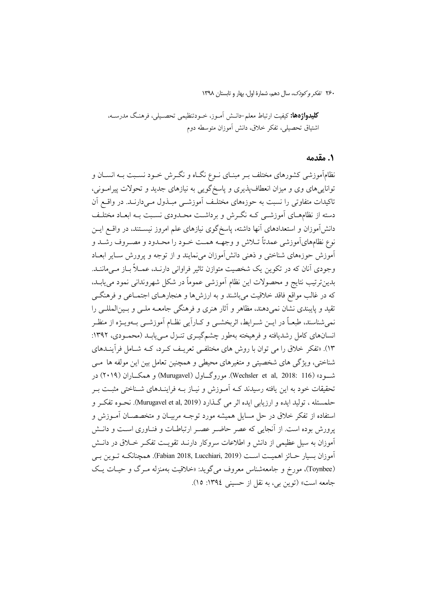**کلیدواژهها:** کیفیت ارتباط معلم–دانــش آمــوز، خــودتنظیمی تحصــیلی، فرهنـگ مدرســه، اشتياق تحصيلي، تفكر خلاق، دانش آموزان متوسطه دوم

#### ٠. مقدمه

نظامآموزشی کشورهای مختلف بـر مبنـای نــوع نگــاه و نگــرش خــود نســبت بــه انســان و تواناییهای وی و میزان انعطافپذیری و پاسخگویی به نیازهای جدید و تحولات پیرامـونی، تاکیدات متفاوتی را نسبت به حوزههای مختلف آموزشـی مبـذول مـی(دارنـد. در واقــع آن دسته از نظامهـای آموزشــی کــه نگــرش و برداشــت محــدودی نسـبت بــه ابعــاد مختلــف دانش]موزان و استعدادهای آنها داشته، پاسخگوی نیازهای علم امروز نیســتند، در واقــع ایــن نوع نظامهايأموزشي عمدتاً تــلاش و وجهــه همــت خــود را محــدود و مصــروف رشــد و آموزش حوزههای شناختی و ذهنی دانش آموزان می نمایند و از توجه و پرورش سـایر ابعـاد وجودی آنان که در تکوین یک شخصیت متوازن تاثیر فراوانی دارنـد، عمـلاً بـاز مـی،اننـد. بدينترتيب نتايج و محصولات اين نظام أموزشي عموماً در شكل شهرونداني نمود مي يابـد، که در غالب مواقع فاقد خلاقیت می باشند و به ارزش ها و هنجارهــای اجتمــاعی و فرهنگــی تقید و پایبندی نشان نمیِ دهند، مظاهر و آثار هنری و فرهنگی جامعــه ملــی و بــینِالمللــی را نمی شناسند، طبعــاً در ایــن شــرایط، اثربخشــی و کــاراَیی نظــام آموزشــی بــهویــژه از منظــر انسانهای کامل رشدیافته و فرهیخته بهطور چشمگیـری تنـزل مـی،یابـد (محمـودی، ۱۳۹۲: ۱۳). «تفکر خلاق را می توان با روش های مختلفی تعریـف کـرد، کــه شــامل فرآینــدهای شناختی، ویژگی های شخصیتی و متغیرهای محیطی و همچنین تعامل بین این مولفه ها مسی شــود» (Wechsler et al, 2018: 116). موروگــاول (Murugavel) و همكــاران (۲۰۱۹) در تحقیقات خود به این یافته رسیدند کـه اَمـوزش و نیـاز بـه فراینـدهای شـناختی مثبـت بـر حلمسئله ، توليد ايده و ارزيابي ايده اثر مي گـذارد (Murugavel et al, 2019). نحــوه تفكــر و استفاده از تفکر خلاق در حل مسایل همیشه مورد توجـه مربیـان و متخصصـان آمــوزش و پرورش بوده است. از آنجایی که عصر حاضـر عصـر ارتباطـات و فنـاوری اسـت و دانـش آموزان به سیل عظیمی از دانش و اطلاعات سروکار دارنـد تقویـت تفکـر خــلاق در دانـش آموزان بسیار حــائز اهمیــت اســت (Fabian 2018, Lucchiari, 2019). همچنانکــه تــوین بــی (Toynbee)، مورخ و جامعهشناس معروف میگوید: «خلاقیت بهمنزله مـرگ و حیـات یـک جامعه است» (توین بی، به نقل از حسینی ١٣٩٤: ١٥).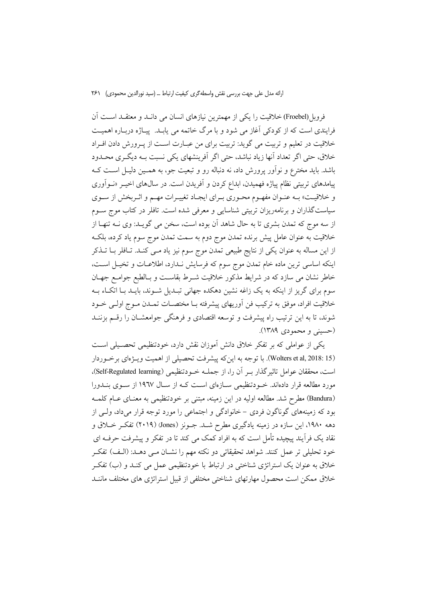فروبل(Froebel) خلاقیت را یکی از مهمترین نیازهای انسان می دانــد و معتقــد اســت آن فرایندی است که از کودکی آغاز می شود و با مرگ خاتمه می پابـد. پیـاژه دربـاره اهمیـت خلاقیت در تعلیم و تربیت می گوید: تربیت برای من عبـارت اسـت از پـرورش دادن افـراد خلاق، حتى اگر تعداد أنها زياد نباشد، حتى اگر أفرينشهاى يكي نسبت بـه ديگـرى محـدود باشد. باید مخترع و نوآور پرورش داد، نه دنباله رو و تبعیت جو، به همــین دلیــل اســت کــه پیامدهای تربیتی نظام پیاژه فهمیدن، ابداع کردن و آفریدن است. در سالهای اخیــر «نــواَوری و خلاقیـت» بـه عنـوان مفهـوم محـوري بـراي ايجـاد تغييـرات مهـم و اثـربخش از سـوي سیاستگذاران و برنامهریزان تربیتی شناسایی و معرفی شده است. تافلر در کتاب موج ســوم از سه موج که تمدن بشری تا به حال شاهد آن بوده است، سخن می گویــد: وی نــه تنهــا از خلاقیت به عنوان عامل پیش برنده تمدن موج دوم به سمت تمدن موج سوم یاد کرده، بلکـه از این مساله به عنوان یکی از نتایج طبیعی تمدن موج سوم نیز یاد مـی کنـد. تـافلر بــا تــذکر اینکه اساسی ترین ماده خام تمدن موج سوم که فرسایش نـدارد، اطلاعـات و تخیـل اسـت، خاطر نشان می سازد که در شرایط مذکور خلاقیت شــرط بقاســت و بــالطبع جوامــع جهــان سوم برای گریز از اینکه به یک زاغه نشین دهکده جهانی تبـدیل شــوند، بایــد بــا اتکــاء بــه خلاقيت افراد، موفق به تركيب فن أوريهاي پيشرفته بـا مختصــات تمــدن مــوج اولــي خــود شوند، تا به این ترتیب راه پیشرفت و توسعه اقتصادی و فرهنگی جوامعشـان را رقــم بزننــد (حسيني و محمودي ١٣٨٩).

یکی از عواملی که بر تفکر خلاق دانش آموزان نقش دارد، خودتنظیمی تحصـیلی اسـت (Wolters et al, 2018: 15). با توجه به این که پیشرفت تحصیلی از اهمیت ویـژمای برخـوردار است، محققان عوامل تاثیر گذار ب آن را، از جملیه خبودتنظیمی (Self-Regulated learning)، مورد مطالعه قرار دادهاند. خــودتنظیمی ســازهای اســت کــه از ســال ١٩٦٧ از ســوی بنــدورا (Bandura) مطرح شد. مطالعه اولیه در این زمینه، مبتنی بر خودتنظیمی به معنـای عـام کلمـه بود که زمینههای گوناگون فردی – خانوادگی و اجتماعی را مورد توجه قرار میداد، ولـی از دهه ۱۹۸۰، این سازه در زمینه یادگیری مطرح شـد. جـونز (Jones) (۲۰۱۹) تفکـر خــلاق و نقاد یک فرآیند پیچیده تأمل است که به افراد کمک می کند تا در تفکر و پیشرفت حرفـه ای خود تحلیلی تر عمل کنند. شواهد تحقیقاتی دو نکته مهم را نشـان مـی دهـد: (الـف) تفکـر خلاق به عنوان یک استراتژی شناختی در ارتباط با خودتنظیمی عمل می کنـد و (ب) تفکـر خلاق ممکن است محصول مهارتهای شناختی مختلفی از قبیل استراتژی های مختلف ماننــد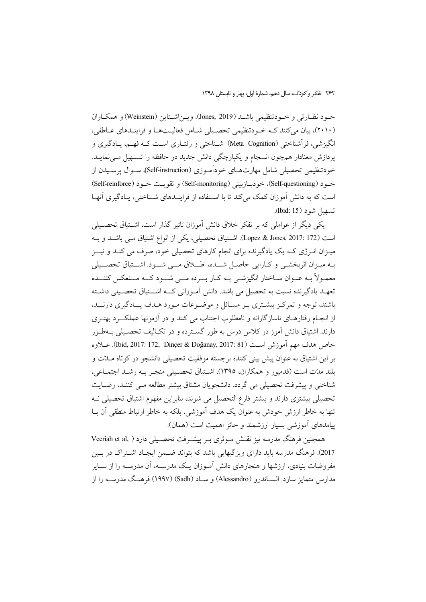خـود نظـارتي و خــودتنظيمي باشــد (Jones, 2019). ويــن(شـتاين (Weinstein) و همكــاران (۲۰۱۰)، بیان می کنند کـه خـودتنظیمی تحصـیلی شـامل فعالیـتهـا و فراینـدهای عـاطفی، انگیزشی، فرأشناختی (Meta Cognition) شـناختی و رفتـاری اسـت کــه فهــم، يــادگيری و یردازش معنادار همچون انسجام و یکپارچگی دانش جدید در حافظه را تسهیل می نمایـد. خودتنظیمی تحصیلی شامل مهارتهـای خوداَمـوزی (Self-instruction)، سـوال پرسـیدن از خـود (Self-questioning)، خودبــازييني (Self-monitoring) و تقويــت خــود (Self-reinforce) است که به دانش آموزان کمک می کند تا با استفاده از فراینـدهای شـناختی، پـادگیری آنهـا تسهيل شود (Ibid: 15).

یکی دیگر از عواملی که بر تفکر خلاق دانش آموزان تاثیر گذار است، اشـتیاق تحصـیلی است (Lopez & Jones, 2017: 172). اشـتياق تحصيلي، يكي از انواع اشتياق مـي باشــد و بــه میـزان انـرژی کـه یک یادگیرنده برای انجام کارهای تحصیلی خود، صرف می کنـد و نیــز بـه ميـزان اثربخشـي و كـارايي حاصـل شـــده، اطـــلاق مـــي شـــود. اشـــتياق تحصـــيلي معمـولاً بــه عنـوان ســاختار انگيزشــي بــه كــار بــــرده مـــي شـــود كــــه مـــنعكس كننـــده تعهـد یادگیرنده نسبت به تحصیل می باشد. دانش آمـوزانی کـــه اشـــتیاق تحصــیلی داشــته باشند، توجه و تمرکـز بیشـتری بـر مسـائل و موضـوعات مـورد هـدف یــادگیری دارنـــد، از انجـام رفتارهـای ناسازگارانه و نامطلوب اجتناب می کنند و در آزمونها عملکـــرد بهتــری دارند. اشتیاق دانش آموز در کلاس درس به طور گسـترده و در تکـالیف تحصـیلی بــهطـور خاص هدف مهم آموزش است (Ibid, 2017: 172, Dinçer & Doğanay, 2017: 81). عبلاوه بر این اشتیاق به عنوان پیش بینی کننده برجسته موفقیت تحصیلی دانشجو در کوتاه مــلـت و بلند مدّت است (قدمیور و همکاران، ۱۳۹۵). اشتباق تحصیلی منجس به رشید اجتماعی، شناختی و پیشرفت تحصیلی می گردد. دانشجویان مشتاق بیشتر مطالعه مـی کننـد، رضـایت تحصیلی بیشتری دارند و بیشتر فارغ التحصیل می شوند، بنابراین مفهوم اشتیاق تحصیلی ف تنها به خاطر ارزش خودش به عنوان یک هدف آموزشی، بلکه به خاطر ارتباط منطقی آن بـا پیامدهای اَموزشی بسیار ارزشمند و حائز اهمیت است (همان).

همچنین فرهنگ مدرسه نیز نقسش مـوثری بـر پیشـرفت تحصـیلی دارد ( Veeriah et al, 2017). فرهنگ مدرسه باید دارای ویژگیهایی باشد که بتواند ضـمن ایجـاد اشـتراک در بـین مفروضات بنیادی، ارزشها و هنجارهای دانش آمـوزان یـک مدرســه، آن مدرســه را از ســایر مدارس متمايز سازد. الســاندرو (Alessandro) و ســاد (Sadh) (١٩٩٧) فرهنگ مدرســه را از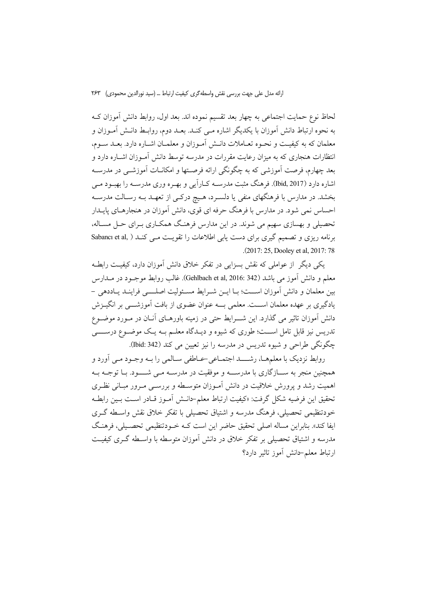لحاظ نوع حمايت اجتماعي به چهار بعد تقسيم نموده اند. بعد اول، روابط دانش آموزان کـه به نحوه ارتباط دانش آموزان با یکدیگر اشاره مـی کنـد. بعـد دوم، روابـط دانـش آمـوزان و معلمان كه به كيفيـت و نحـوه تعــاملات دانــش آمــوزان و معلمــان اشــاره دارد. بعــد ســوم، انتظارات هنجاری که به میزان رعایت مقررات در مدرسه توسط دانش آمـوزان اشــاره دارد و بعد چهارم، فرصت اَموزشی که به چگونگی ارائه فرصـتها و امکانــات اَموزشــی در مدرســه اشاره دارد (Ibid, 2017). فرهنگ مثبت مدرســه کــاراَیی و بهــره وری مدرســه را بهبــود مــی بخشد. در مدارس با فرهنگهای منفی یا دلسـرد، هـیچ درکـی از تعهـد بــه رسـالت مدرســه احساس نمی شود. در مدارس با فرهنگ حرفه ای قوی، دانش آموزان در هنجارهـای پایــدار تحصیلی و بهسازی سهیم می شوند. در این مدارس فرهنگ همکـاری بـرای حـل مسـاله، برنامه ریزی و تصمیم گیری برای دست یابی اطلاعات را تقویـت مـی کنـد ( Sabancı et al, .(2017: 25, Dooley et al, 2017: 78

یکی دیگر ًاز عواملی که نقش بسزایی در تفکر خلاق دانش آموزان دارد، کیفیت رابطـه معلم و دانش آموز می باشد (Gehlbach et al, 2016: 342). غالب روابط موجــود در مــدارس بین معلمان و دانش آموزان اسـت؛ بـا ایــن شــرایط مســئولیت اصلـــــی فراینــد یـاددهی – یادگیری بر عهده معلمان اســت. معلمی بــه عنوان عضوی از بافت آموزشـــی بر انگیــزش دانش آموزان تاثیر می گذارد. این شـــرایط حتی در زمینه باورهــای آنــان در مــورد موضــوع تدریس نیز قابل تامل اســت؛ طوری که شیوه و دیــدگاه معلــم بــه یـک موضــوع درســـــی چگونگی طراحی و شیوه تدریس در مدرسه را نیز تعیین می کند (Ibid: 342).

روابط نزدیک با معلمهما، رشــــد اجتمــاعییحــاطفی ســالمی را بــه وجــود مــی اَورد و همچنین منجر به ســازگاری با مدرســه و موفقیت در مدرسـه مــی شــــود. بــا توجــه بــه اهمیت رشد و پرورش خلاقیت در دانش آمـوزان متوسـطه و بررســی مـرور مبــانی نظـری تحقيق اين فرضيه شكل گرفت: «كيفيت ارتباط معلم-دانـش آمـوز قـادر اسـت بـين رابطـه خودتنظیمی تحصیلی، فرهنگ مدرسه و اشتیاق تحصیلی با تفکر خلاق نقش واسـطه گـری ايفا كند». بنابراين مساله اصلي تحقيق حاضر اين است كــه خــودتنظيمي تحصـيلي، فرهنـگ مدرسه و اشتیاق تحصیلی بر تفکر خلاق در دانش آموزان متوسطه با واسـطه گـری کیفیـت ارتباط معلم-دانش أموز تاثير دارد؟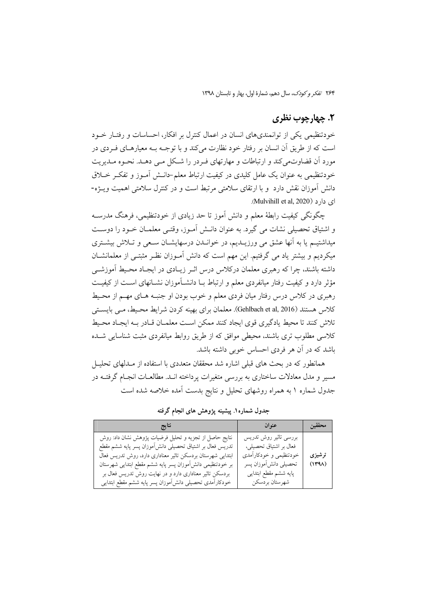۲۶۴ تفكر وكودك، سال دهم، شمارة اول، بهار و تابستان ١٣٩٨

## ٢. چهارچوب نظري

خودتنظیمی یکی از توانمندیهای انسان در اعمال کنترل بر افکار، احساسات و رفتـار خــود است که از طریق آن انسان بر رفتار خود نظارت میکند و با توجـه بـه معیارهـای فـردی در مورد آن قضاوتمی کند و ارتباطات و مهارتهای فـردر را شـکل مـی دهــد. نحـوه مـدیریت خودتنظیمی به عنوان یک عامل کلیدی در کیفیت ارتباط معلم-دانــش آمــوز و تفکــر خــلاق دانش آموزان نقش دارد و با ارتقای سلامتی مرتبط است و در کنترل سلامتی اهمیت ویـژه-ای دارد (Mulvihill et al. 2020).

چگونگی کیفیت رابطهٔ معلم و دانش آموز تا حد زیادی از خودتنظیمی، فرهنگ مدرسـه و اشتیاق تحصیلی نشات می گیرد. به عنوان دانـش آمـوز، وقتـی معلمـان خـود را دوسـت میداشتیـم یا به آنها عشق می ورزیــدیم، در خوانــدن درسهایشــان ســعی و تــلاش بیشــتری میکردیم و بیشتر یاد می گرفتیم. این مهم است که دانش آمـوزان نظـر مثبتـم از معلمانشــان داشته باشند، چرا که رهبری معلمان درکلاس درس اثـر زیـادی در ایجـاد محـیط آموزشــی مؤثر دارد و کیفیت رفتار میانفردی معلم و ارتباط بــا دانشــآموزان نشــانهای اســت از کیفیــت رهبری در کلاس درس رفتار میان فردی معلم و خوب بودن او جنبه هـای مهـم از محـیط کلاس هستند (Gehlbach et al, 2016). معلمان برای بهینه کردن شرایط محـیط، مـبی بایســتـی تلاش كنند تا محيط يادگيري قوي ايجاد كنند ممكن است معلمـان قـادر بـه ايجـاد محـيط کلاسی مطلوب تری باشند، محیطی موافق که از طریق روابط میانفردی مثبت شناسایی شــده باشد که در آن هر فردی احساس خوبی داشته باشد.

همانطور که در بحث های قبلی اشاره شد محققان متعددی با استفاده از مـدلهای تحلیــل مسیر و مدل معادلات ساختاری به بررسی متغیرات پرداخته انــد. مطالعــات انجــام گرفتــه در جدول شماره ۱ به همراه روشهای تحلیل و نتایج بدست آمده خلاصه شده است

جدول شماره۱. پیشینه یژوهش های انجام گرفته

| نتايج                                                                                                                                                                                                                                                                                                                                                              | عنوان                                                                                                                                         | محققين          |
|--------------------------------------------------------------------------------------------------------------------------------------------------------------------------------------------------------------------------------------------------------------------------------------------------------------------------------------------------------------------|-----------------------------------------------------------------------------------------------------------------------------------------------|-----------------|
| نتايج حاصل از تجزيه و تحليل فرضيات پژوهش نشان داد: روش<br>تدریس فعال بر اشتیاق تحصیلی دانش[موزان پسر پایه ششم مقطع<br>ابتدایی شهرستان بردسکن تاثیر معناداری دارد، روش تدریس فعال<br>بر خودتنظیمی دانش[موزان پسر پایه ششم مقطع ابتدایی شهرستان<br>بردسکن تاثیر معناداری دارد و در نهایت روش تدریس فعال بر<br>خودكارأمدى تحصيلى دانشأموزان پسر پايه ششم مقطع ابتدايي | بررسى تاثير روش تدريس<br>فعال بر اشتياق تحصيلي،<br>خودتنظیمی و خودکارأمدی<br>تحصيلي دانش[موزان پسر<br>پایه ششم مقطع ابتدایی<br>شهرستان بردسكن | ترشيزي<br>(144) |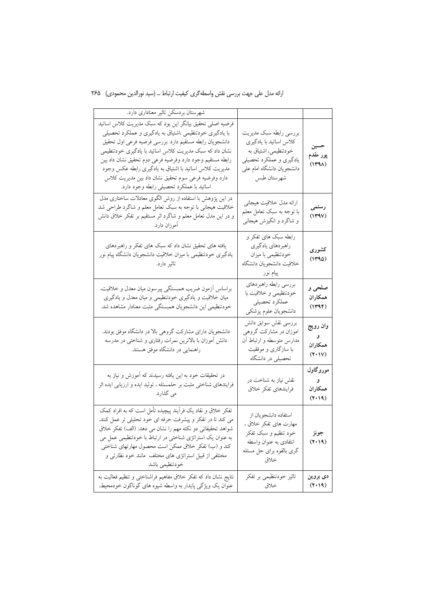# ارائه مدل على جهت بررسي نقش واسطهگري كيفيت ارتباط … (سيد نورالدين محمودي) ٢۶۵

| شهرستان بردسكن تاثير معناداري دارد.                                                                                                                                                                                                                                                                                                                                                                                                                                  |                                                                                                                                                  |                                             |
|----------------------------------------------------------------------------------------------------------------------------------------------------------------------------------------------------------------------------------------------------------------------------------------------------------------------------------------------------------------------------------------------------------------------------------------------------------------------|--------------------------------------------------------------------------------------------------------------------------------------------------|---------------------------------------------|
| فرضیه اصلی تحقیق بیانگر این بود که سبک مدیریت کلاس اساتید<br>با یادگیری خودتنظیمی ،اشتیاق به یادگیری و عملکرد تحصیلی<br>دانشجويان رابطه مستقيم دارد ببررسي فرضيه فرعى اول تحقيق<br>نشان داد که سبک مدیریت کلاس اساتید با یادگیری خودتنظیمی<br>رابطه مستقيم وجود دارد وفرضيه فرعى دوم تحقيق نشان داد بين<br>مدیریت کلاس اساتید با اشتیاق به یادگیری رابطه عکس وجود<br>دارد وفرضيه فرعى سوم تحقيق نشان داد بين مديريت كلاس<br>اساتید با عملکرد تحصیلی رابطه وجود دارد. | بررسي رابطه سبك مديريت<br>كلاس اساتيد با يادگيري<br>خودتنظیمی، اشتیاق به<br>یادگیری و عملکرد تحصیلی<br>دانشجويان دانشگاه امام على<br>شهرستان طبس | حسين<br>پور مقدم<br>(144)                   |
| در این پژوهش با استفاده از روش الگوی معادلات ساختاری مدل<br>خلاقیت هیجانی با توجه به سبک تعامل معلم و شاگرد طراحی شد<br>و در این مدل تعامل معلم و شاگرد اثر مستقیم بر تفکر خلاق دانش<br>آموزان دارد.                                                                                                                                                                                                                                                                 | ارائه مدل خلاقيت هيجاني<br>با توجه به سبک تعامل معلم<br>و شاگرد و انگیزش هیجانبی                                                                 | رستمى<br>(144V)                             |
| یافته های تحقیق نشان داد که سبک های تفکر و راهبردهای<br>یادگیری خودتنظیمی با میزان خلاقیت دانشجویان دانشگاه پیام نور<br>تاثیر دارد.                                                                                                                                                                                                                                                                                                                                  | رابطه سبک های تفکر و<br>راهبردهاي يادگيري<br>خودتنظیمی با میزان<br>خلاقيت دانشجويان دانشگاه<br>پیام نور                                          | كشورى<br>(1490)                             |
| براساس آزمون ضريب همبستگي پيرسون ميان معدل و خلاقيت،<br>میان خلاقیت و یادگیری خودتنظیمی و میان معدل و یادگیری<br>خودتنظیمی این دانشجویان همبستگی مثبت معنادار مشاهده شد.                                                                                                                                                                                                                                                                                             | بررسي رابطه راهبردهاي<br>خودتنظیمی و خلاقیت با<br>عملكرد تحصيلي<br>دانشجويان علوم پزشكي                                                          | صلحي و<br>همكاران<br>(144)                  |
| دانشجویان دارای مشارکت گروهی بالا در دانشگاه موفق بودند.<br>دانش اًموزان با بالاترین نمرات رفتاری و شناختی در مدرسه<br>راهنمایی در دانشگاه موفق هستند.                                                                                                                                                                                                                                                                                                               | بررسي نقش سوابق دانش<br>اموزان در مشارکت گروهی<br>مدارس متوسطه و ارتباط آن<br>با سازگاری و موفقیت<br>تحصیلی در دانشگاه                           | وان رويج<br>و ِ<br>همكاران<br>$(Y \cdot V)$ |
| در تحقیقات خود به این یافته رسیدند که آموزش و نیاز به<br>فرایندهای شناختی مثبت بر حلمسئله ، تولید ایده و ارزیابی ایده اثر<br>می گذارد.                                                                                                                                                                                                                                                                                                                               | نقش نیاز به شناخت در<br>فرايندهاي تفكر خلاق                                                                                                      | موروگاول<br>و<br>همكاران<br>(1.19)          |
| تفکر خلاق و نقاد یک فرأیند پیچیده تأمل است که به افراد کمک<br>می کند تا در تفکر و پیشرفت حرفه ای خود تحلیلی تر عمل کنند.<br>شواهد تحقیقاتی دو نکته مهم را نشان می دهد: (الف) تفکر خلاق<br>به عنوان یک استراتژی شناختی در ارتباط با خودتنظیمی عمل می<br>کند و (ب) تفکر خلاق ممکن است محصول مهارتهای شناختی<br>مختلفی از قبیل استراتژی های مختلف مانند خود نظارتی و<br>خودتنظيمي باشد                                                                                  | استفاده دانشجويان از<br>مهارت های تفکر خلاق ،<br>خود تنظیم و سبک تفکر<br>انتقادی به عنوان واسطه<br>گری بالقوه برای حل مسئله<br>خلاق              | جونز<br>(1.19)                              |
| نتايج نشان داد كه تفكر خلاق مفاهيم فراشناختى و تنظيم فعاليت به<br>عنوان یک ویژگی پایدار به واسطه شیوه های گوناگون خودمحیط،                                                                                                                                                                                                                                                                                                                                           | تاثیر خودتنظیمی بر تفکر<br>خلاق                                                                                                                  | دی بروین<br>(1.19)                          |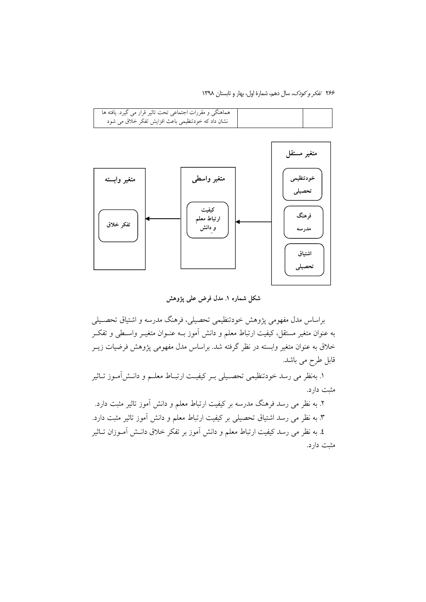۲۶۶ تفكر وكودك، سال دهم، شمارة اول، بهار و تابستان ١٣٩٨



شکل شماره ۱. مدل فرض علمی پژوهش

براساس مدل مفهومی پژوهش خودتنظیمی تحصیلی، فرهنگ مدرسه و اشتیاق تحصـیلی به عنوان متغیر مستقل، کیفیت ارتباط معلم و دانش آموز بــه عنــوان متغیــر واســطی و تفکــر خلاق به عنوان متغیر وابسته در نظر گرفته شد. براساس مدل مفهومی پژوهش فرضیات زیــر قابل طرح می باشد.

١. بهنظر مي رسد خودتنظيمي تحصـيلي بـر كيفيـت ارتبـاط معلــم و دانــش|مــوز تــاثير مثبت دارد.

۲. به نظر می رسد فرهنگ مدرسه بر کیفیت ارتباط معلم و دانش آموز تاثیر مثبت دارد. ۳. به نظر می رسد اشتیاق تحصیلی بر کیفیت ارتباط معلم و دانش آموز تاثیر مثبت دارد. ٤. به نظر می رسد کیفیت ارتباط معلم و دانش آموز بر تفکر خلاق دانـش آمــوزان تــاثیر مثبت دارد.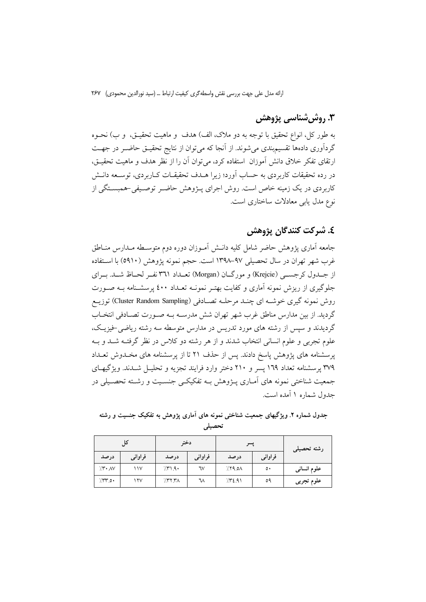# ۳. روشىشناسى پژوهش

به طور كل، انواع تحقيق با توجه به دو ملاک، الف) هدف و ماهيت تحقيــق، و ب) نحــوه گردآوری دادهها تقسیم بندی می شوند. از آنجا که می توان از نتایج تحقیـق حاضـر در جهـت ارتقای تفکر خلاق دانش آموزان استفاده کرد، می توان آن را از نظر هدف و ماهیت تحقیــق، در رده تحقیقات کاربردی به حساب آورد؛ زیرا هــدف تحقیقــات کــاربردی، توســعه دانــش کاربردی در یک زمینه خاص است. روش اجرای پــژوهش حاضـر توصــیفی-همبســتگی از نوع مدل پاپی معادلات ساختاری است.

# ٤. شركت كنندگان پژوهش

جامعه آماري يژوهش حاضر شامل كليه دانــش آمــوزان دوره دوم متوســطه مــدارس منــاطق غرب شهر تهران در سال تحصیلی ۹۷–۱۳۹۸ است. حجم نمونه پژوهش (۵۹۱۰) با اسـتفاده از جبدول کر جسبی (Krejcie) و مورگیان (Morgan) تعبداد ۳۶۱ نفیر لحیاظ شبد. بیرای جلوگیری از ریزش نمونه آماری و کفایت بهتـر نمونــه تعــداد ٤٠٠ پرسشـنامه بــه صــورت روش نمونه گیری خوشـه ای چنـد مرحلـه تصـادفی (Cluster Random Sampling) توزیـع گردید. از بین مدارس مناطق غرب شهر تهران شش مدرسـه بـه صـورت تصـادفی انتخـاب گردیدند و سپس از رشته های مورد تدریس در مدارس متوسطه سه رشته ریاضی خیزیک، علوم تجربی و علوم انسانی انتخاب شدند و از هر رشته دو کلاس در نظر گرفتـه شــد و بــه پرسشنامه های پژوهش پاسخ دادند. پس از حذف ۲۱ تا از پرسشنامه های مخـدوش تعـداد ۳۷۹ پرسشنامه تعداد ۱۶۹ پسر و ۲۱۰ دختر وارد فرایند تجزیه و تحلیـل شـدند. ویژگیهـای جمعیت شناختی نمونه های آمـاری پــژوهش بــه تفکیکــی جنســیت و رشــته تحصــیلی در جدول شماره ۱ آمده است.

## جدول شماره ۲. ویژگیهای جمعیت شناختی نمونه های آماری پژوهش به تفکیک جنسیت و رشته تحصيلى

|                          | کل      | دختر   |         | پسر                |         | رشته تحصیلی |
|--------------------------|---------|--------|---------|--------------------|---------|-------------|
| درصد                     | فراواني | در صد  | فراواني | درصد               | فراواني |             |
| $\gamma$ $\sim$ $\gamma$ | ۱۱۷     | 771.9  | ٦٧      | 719.0 <sub>0</sub> | ٥٠      | علوم انسانی |
| 7.54                     | ۱۲۷     | 777.7A | ₩       | 752.91             | ٥٩      | علوم تجربي  |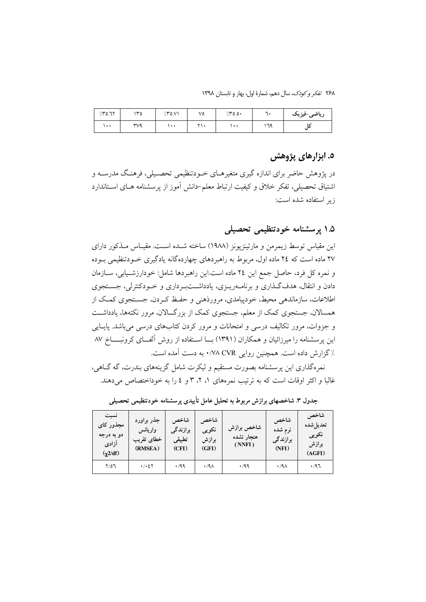۲۶۸ تفکر و کودک، سال دهم، شمارهٔ اول، بهار و تابستان ۱۳۹۸

| 770.71    | ۱۳٥        | 750.51 | ٧٥           | 750.0                | ٠  | ریاضی-فیزیک |
|-----------|------------|--------|--------------|----------------------|----|-------------|
| $\ddotsc$ | <b>۳V۹</b> |        | $\mathbf{y}$ | $\ddot{\phantom{1}}$ | ٦٩ |             |

## ٥. ابزارهای پژوهش

در پژوهش حاضر برای اندازه گیری متغیرهــای خــودتنظیمی تحصــیلی، فرهنـگ مدرســه و اشتیاق تحصیلی، تفکر خلاق و کیفیت ارتباط معلم–دانش آموز از پرسشنامه هـای اسـتاندارد زير استفاده شده است:

۱.۵ پرسشنامه خودتنظیمی تحصیلی

این مقیاس توسط زیمرمن و مارتینزیونز (۱۹۸۸) ساخته شــده اســت. مقیــاس مــذکور دارای ۲۷ ماده است که ۲٤ ماده اول، مربوط به راهبردهای چهاردهگانه یادگیری خـودتنظیمی بـوده و نمره كل فرد، حاصل جمع اين ٢٤ ماده است.اين راهبردها شامل: خودارزشـيابي، ســازمان دادن و انتقال، هدف گـذاري و بر نامــهريــزي، پادداشــتبــرداري و خــودکنترلي، جســتجوي اطلاعات، سازماندهی محیط، خودپیامدی، مرورذهنی و حفـظ کـردن، جســتجوی کمـک از همسالان، جستجوی کمک از معلم، جستجوی کمک از بزرگسالان، مرور نکتهها، یادداشت و جزوات، مرور تکالیف درسی و امتحانات و مرور کردن کتابهای درسی می باشد. پایایی این پرسشنامه را میرزائیان و همکاران (۱۳۹۱) بـــا اسـتفاده از روش آلفـــای کرونبـــــاخ ۸۷ ٪ گزارش داده است. همچنین روایی V۸ CVR. به دست آمده است.

نمرهگذاری این پرسشنامه بصورت مستقیم و لیکرت شامل گزینههای بندرت، گه گــاهیِ، غالبا و اکثر اوقات است که به ترتیب نمرههای ۱، ۲، ۳ و ٤ را به خوداختصاص میدهند.

| نسبت<br>مجذور كاى<br>دو به درجه<br>آزادی<br>$(\gamma 2/df)$ | جذر براورد<br>واريانس<br>خطاي تقريب<br>(RMSEA) | شاخص<br>برازن <i>د گی</i><br>تطبيقى<br>(CFI) | شاخص<br>نكويبي<br>برازش<br>(GFI) | شاخص برازش<br>هنجار نشده<br>(NNFI) | شاخص<br>نرم شده<br>برازندگی<br>(NFI) | شاخص<br>تعديل شده<br>نکویی<br>برازش<br>(AGFI) |
|-------------------------------------------------------------|------------------------------------------------|----------------------------------------------|----------------------------------|------------------------------------|--------------------------------------|-----------------------------------------------|
| 7/07                                                        | $\cdot$ / $\cdot$ 27                           | .49                                          | $\cdot$ /9 $\wedge$              | $\cdot$ /99                        | $\cdot$ /9 $\wedge$                  | .47                                           |

جدول ۳. شاخصهای برازش مربوط به تحلیل عامل تأییدی پرسشنامه خودتنظیمی تحصیلی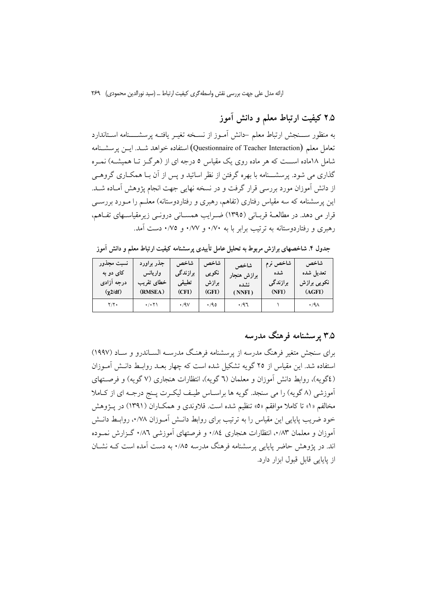۲.۵ کیفیت ارتباط معلم و دانش آموز

به منظور ســـنجش ارتباط معلم حانش أمــوز از نســخه تغيــر يافتــه پرسشـــــنامه اســتاندارد تعامل معلم (Questionnaire of Teacher Interaction) استفاده خواهد شـد. ايــن يرسشـنامه شامل ۱۸ماده اســت که هر ماده روی یک مقیاس ۵ درجه ای از (هرگـز تــا همیشــه) نمـره گذاری می شود. پرسشـــنامه با بهره گرفتن از نظر اساتید و پس از آن بــا همکــاری گروهــی از دانش آموزان مورد بررسی قرار گرفت و در نسخه نهایی جهت انجام یژوهش آمـاده شــد. این پرسشنامه که سه مقیاس رفتاری (تفاهم، رهبری و رفتاردوستانه) معلــم را مــورد بررســی قرار می دهد. در مطالعـهٔ قربـانی (١٣٩٥) ضـرایب همسـانی درونـی زیرمقیاسـهای تفـاهم، رهبری و رفتاردوستانه به ترتیب برابر با به ۰/۷۰ و ۰/۷۷ و ۰/۷۵ دست آمد.

جدول ۴. شاخصهای برازش مربوط به تحلیل عامل تأییدی پرسشنامه کیفیت ارتباط معلم و دانش آموز

| انسبت مجذور   | جذر براورد                       | شاخص              | شاخص  | شاخص        | شاخص نرم | شاخص                |
|---------------|----------------------------------|-------------------|-------|-------------|----------|---------------------|
| کای دو به     | واريانس                          | برازندگی          | نكويى | برازش هنجار | شده      | تعديل شده           |
| درجه آزادی    | خطاى تقريب                       | تطبيقى            | برازش | نشده        | برازندگی | نکویی برازش         |
| $(\chi 2/df)$ | (RMSEA)                          | (CFI)             | (GFI) | (NNFI)      | (NFI)    | (AGFI)              |
| $Y/Y$ .       | $\cdot/\cdot$ $\uparrow\uparrow$ | $\cdot$ /9 $\vee$ | .40   | $\cdot$ /97 |          | $\cdot$ /9 $\wedge$ |

## ۳.۵ پرسشنامه فرهنگ مدرسه

برای سنجش متغیر فرهنگ مدرسه از پرسشنامه فرهنگ مدرســه الســاندرو و ســاد (۱۹۹۷) استفاده شد. این مقیاس از ۲۵ گو یه تشکیل شده است که چهار بعــد روابــط دانــش آمــوزان (٤گویه)، روابط دانش آموزان و معلمان (٦ گویه)، انتظارات هنجاری (٧ گویه) و فرصــتهای آموزشی (۸ گویه) را می سنجد. گویه ها براسـاس طیـف لیکـرت پـنج درجـه ای از کـاملا مخالفم «۱» تا کاملا موافقم «۵» تنظیم شده است. قلاوندی و همکـاران (۱۳۹۱) در پـژوهش خود ضریب پایایی این مقیاس را به ترتیب برای روابط دانـش آمـوزان ۰/۷۸، روابـط دانـش آموزان و معلمان ۰/۸۳، انتظارات هنجاری ۰/۸٤ و فرصتهای آموزشی ۰/۸٦ گـزارش نمــوده اند. در پژوهش حاضر پایایی پرسشنامه فرهنگ مدرسه ۰/۸٥ به دست آمده است کــه نشــان از پایایی قابل قبول ابزار دارد.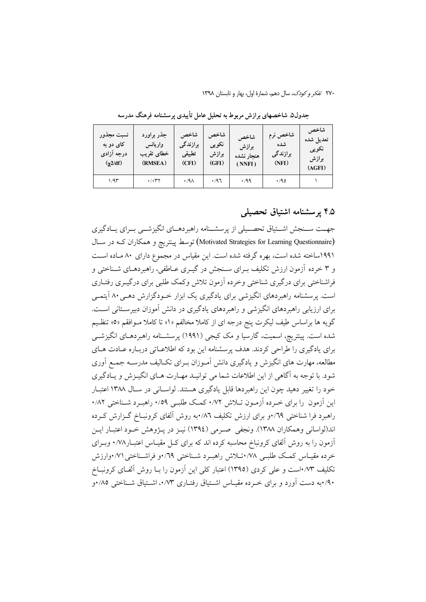| نسبت مجذور<br>کای دو به<br>درجه آزادی<br>$(\chi 2/df)$ | جذر براورد<br>واريانس<br>خطاي تقريب<br>(RMSEA) | شاخص<br>برازندگی<br>تطبيقي<br>(CFI) | شاخص<br>نكويى<br>برازش<br>(GFI) | شاخص<br>برازش<br>هنجار نشده<br>(NNFI) | شاخص نرم<br>شده<br>برازندگی<br>(NFI) | شاخص<br>تعديل شده<br>نكويي<br>برازش<br>(AGFI) |
|--------------------------------------------------------|------------------------------------------------|-------------------------------------|---------------------------------|---------------------------------------|--------------------------------------|-----------------------------------------------|
| ۱/۹۳                                                   | $\cdot/\cdot$ ۳۲                               | $\cdot$ /9 $\wedge$                 | ۰/۹٦                            | ۰٬۹۹                                  | $\cdot$ /90                          |                                               |

جدول۵. شاخصهای برازش مربوط به تحلیل عامل تأییدی پرسشنامه فرهنگ مدرسه

#### ۴.۵ پرسشنامه اشتیاق تحصیلی

جهــت ســنجش اشــتياق تحصــيلي از پرسشــنامه راهبردهــاي انگيزشــي بــراي يــادگيري (Motivated Strategies for Learning Questionnaire) توسط پینتریچ و همکاران کـه در سـال ۱۹۹۱ساخته شده است، بهره گرفته شده است. این مقیاس در مجموع دارای ۸۰ مـاده اسـت و ۳ خرده آزمون ارزش تکلیف بـرای سـنجش در گیـری عـاطفی، راهبردهـای شـناختی و فراشناختی برای درگیری شناختی وخرده آزمون تلاش وکمک طلبی برای درگیـری رفتـاری است. پرسشنامه راهبردهای انگیزشی برای یادگیری یک ابزار خـودگزارش دهـی ۸۰ آیتمـی برای ارزیابی راهبردهای انگیزشی و راهبردهای یادگیری در دانش آموزان دبیرستانی است. گویه ها براساس طیف لیکرت پنج درجه ای از کاملا مخالفم «۱» تا کاملا مـوافقم «۵» تنظـیم شده است. پینتریچ، اسمیت، گارسیا و مک کیجی (۱۹۹۱) برسشـنامه راهبردهـای انگیزشــی برای یادگیری را طراحی کردند. هدف پرسشنامه این بود که اطلاعـاتی دربـاره عـادت هـای مطالعه، مهارت های انگیزش و یادگیری دانش آمـوزان بـرای تکـالیف مدرســه جمـع آوری شود. با توجه به آگاهی از این اطلاعات شما می توانیـد مهـارت هـای انگیـزش و یـادگیری خود را تغییر دهید چون این راهبردها قابل یادگیری هستند. لواسـانی در سـال ۱۳۸۸ اعتبـار این آزمون را برای خبرده آزمبون تبلاش ۰/۷۲ کمیک طلببی ۰/۵۹ راهب د شبناختی ۸۲/۰ راهبرد فرا شناختی ۰٫٬۲۹ برای ارزش تکلیف ۰٫۸۲ به روش آلفای کرونبـاخ گـزارش کـرده اند(لواسانی وهمکاران ۱۳۸۸). ونجفی صرمی (۱۳۹٤) نیـز در پـژوهش خـود اعتبـار ایـن آزمون را به روش آلفای کرونباخ محاسبه کرده اند که برای کـل مقیـاس اعتبـار۰/۷۸ وبـرای خرده مقيـاس كمك طلبـي ٧٨٠تـلاش راهبـرد شـناختي ٢٩/٠و فراشـناختي ٧١/٠وارزش تکلیف ۰/۷۳است و علی کردی (۱۳۹۵) اعتبار کلی این آزمون را بـا روش آلفـای کرونبــاخ ۰/۹۰به دست آورد و برای خـرده مقیــاس اشــتیاق رفتــاری ۰/۷۳، اشــتیاق شــناختی ۸۵/۰و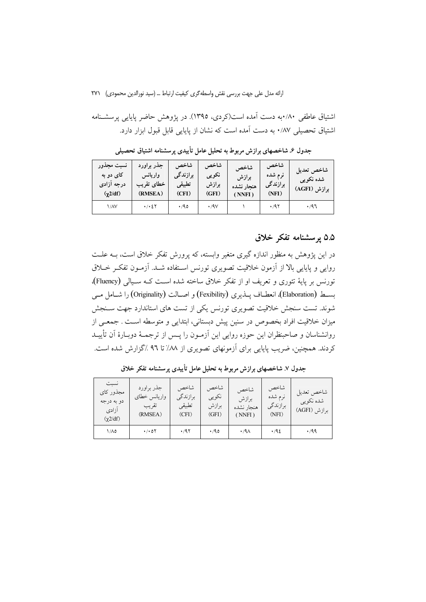اشتياق عاطفي ٨٠/٠به دست آمده است(كردي، ١٣٩٥). در يژوهش حاضر پايايي پرسشـنامه اشتباق تحصیلی ۸۷/۰ به دست آمده است که نشان از پایایی قابل قبول ایزار دارد.

شاخص نسبت مجذور شاخص شاخص جذر براورد شاخص شاخص تعديل کای دو به واريانس برازندگی نكويى نرم شده برازش شدہ نکویے درجه آزادي خطاي تقريب تطبيقي برازش برازندگی هنحار نشده برازش (AGFI) (RMSEA)  $(CFI)$  $(GFI)$  $(NFI)$  $(\chi 2/df)$  $(NNFI)$  $1/NV$  $\cdot$  /  $\cdot$  {  $\cdot$  $\cdot$  /90  $\cdot$ /9 $\vee$  $\bar{\gamma}$  $\cdot$  /97  $\cdot$ /97

جدول ۶. شاخصهای برازش مربوط به تحلیل عامل تأییدی پرسشنامه اشتیاق تحصیلی

#### ۵.۵ پرسشنامه تفکر خلاق

در این یژوهش به منظور اندازه گیری متغیر وابسته، که پرورش تفکر خلاق است، بــه علــت روایی و پایایی بالا از آزمون خلاقیت تصویری تورنس اسـتفاده شـد. آزمـون تفکـر خــلاق تورنس بر پایهٔ تئوری و تعریف او از تفکر خلاق ساخته شده است کـه سـیالی (Fluency). بسط (Elaboration)، انعطـاف يــذيري (Fexibility) و اصــالت (Originality) را شــامل مــي شوند. تست سنجش خلاقیت تصویری تورنس یکی از تست های استاندارد جهت سـنجش میزان خلاقیت افراد بخصوص در سنین پیش دبستانی، ابتدایی و متوسطه است . جمعـی از روانشناسان و صاحبنظران این حوزه روایی این آزمـون را پـس از ترجمــهٔ دوبــارهٔ آن تأییــد کردند. همچنین، ضریب پایایی برای آزمونهای تصویری از ۸۸٪ تا ۹٦٪گزارش شده است.

| نسبت<br>مجذور كاي<br>دو به درجه<br>آزادى<br>$(\gamma 2/df)$ | جذر براورد<br>واريانس خطاى<br>تقريب<br>(RMSEA) | شاخص<br>برازندگی<br>تطبيقي<br>(CFI) | شاخص<br>نكويي<br>برازش<br>(GFI) | شاخص<br>برازش<br>هنجار نشده<br>(NNFI) | شاخص<br>نرم شده<br>برازندگی<br>(NFI) | شاخص تعديل<br>شده نکویبی<br>برازش (AGFI) |
|-------------------------------------------------------------|------------------------------------------------|-------------------------------------|---------------------------------|---------------------------------------|--------------------------------------|------------------------------------------|
| ۱/۸۵                                                        | $\cdot$ / $\cdot$ 0 $\Upsilon$                 | .797                                | $\cdot$ /90                     | $\cdot$ /9 $\wedge$                   | .46                                  | $\cdot$ /99                              |

جدول ۷. شاخصهای برازش مربوط به تحلیل عامل تأییدی پرسشنامه تفکر خلاق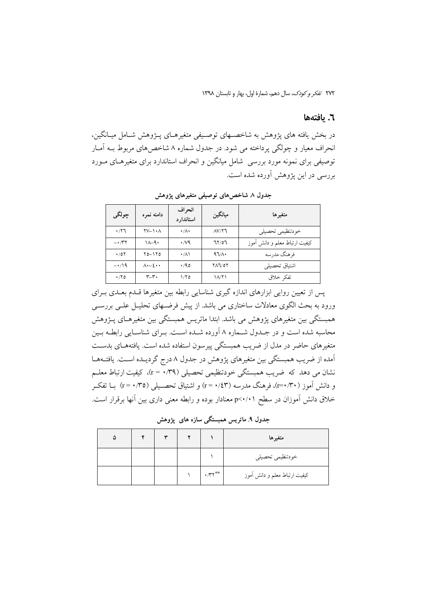٢٧٢ تفكر وكودك، سال دهم، شمارة اول، بهار و تابستان ١٣٩٨

#### ٦. يافتەھا

در بخش یافته های پژوهش به شاخصـهای توصـیفی متغیرهـای پـژوهش شـامل میـانگین، انحراف معیار و چولگی پرداخته می شود. در جدول شماره ۸ شاخص های مربوط بـه آمـار توصيفي براي نمونه مورد بررسي شامل مبانگين و انحراف استاندارد براي متغيرهـاي مـورد بررسی در این پژوهش آورده شده است.

| چولگى                           | دامنه نمره                               | انحر اف<br>استاندار د | ميانگين         | متغيرها                       |
|---------------------------------|------------------------------------------|-----------------------|-----------------|-------------------------------|
| $\cdot$ / $\uparrow$ $\uparrow$ | $\Upsilon V - \Upsilon \cdot \Lambda$    | $\cdot/\Lambda$       | $\Lambda V/Y$ ٦ | خودتنظيمي تحصيلي              |
| $- \cdot \pi r$                 | $1 - 9$                                  | $\cdot$ /vq           | 71/07           | كيفيت ارتباط معلم و دانش أموز |
| $\cdot$ /07                     | $Y_0 - Y_0$                              | ۰/۸۱                  | $47/\lambda$    | فرهنگ مدرسه                   |
| $-\cdot/9$                      | $\Lambda$ $\cdot$ $ \xi$ $\cdot$ $\cdot$ | .40                   | <b>YAJ/0Y</b>   | اشتياق تحصيلي                 |
| $\cdot$ /۲٥                     | $r-r$ .                                  | ۱/۲۵                  | ۱۸/۲۱           | تفكر خلاق                     |

جدول ۸ شاخصهای توصیفی متغیرهای یژوهش

پس از تعیین روایی ابزارهای اندازه گیری شناسایی رابطه بین متغیرها قلدم بعلمی بـرای ورود به بحث الگوی معادلات ساختاری می باشد. از پیش فرضـهای تحلیـل علـی بررسـی همبستگی بین متغیرهای پژوهش می باشد. ابتدا ماتریس همبستگی بین متغیرهـای پــژوهش محاسبه شده است و در جـدول شـماره ۸ آورده شـده اسـت. بـراي شناسـايي رابطـه بـين متغیرهای حاضر در مدل از ضریب همبستگی پیرسون استفاده شده است. یافتههـای بدسـت آمده از ضریب همبستگی بین متغیرهای یژوهش در جدول ۸ درج گردیـده اسـت. یافتــههــا نشان می دهد که ضریب همبستگی خودتنظیمی تحصیلی (r = ۰/۳۹). کیفیت ارتباط معلــم و دانش آموز (۳۰/۳۰)، فرهنگ مدرسه (۲۴/ + =r) و اشتیاق تحصـیلی (۲۵/ + =r) بــا تفکــر خلاق دانش آموزان در سطح p<۰/۰۱ معنادار بوده و رابطه معنی داری بین آنها برقرار است.

.<br>جدول ۹ ماتریس همبستگی سازه های یژوهش

|  | $\checkmark$ |     | متغيرها                       |
|--|--------------|-----|-------------------------------|
|  |              |     | خودتنظيمي تحصيلي              |
|  |              | .77 | كيفيت ارتباط معلم و دانش أموز |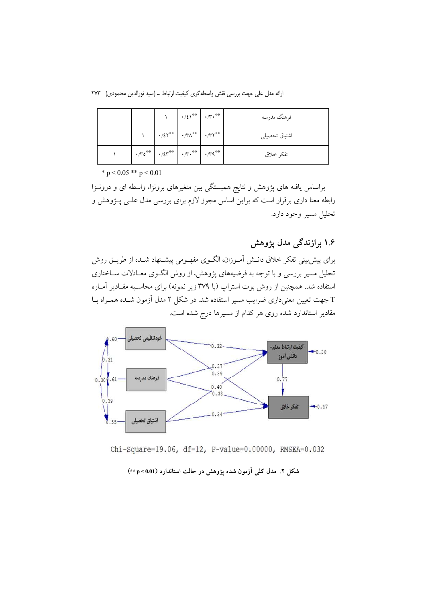ارائه مدل على جهت بررسي نقش واسطه گرى كيفيت ارتباط … (سيد نورالدين محمودي) ٢٧٣

|                                                                                                                                                                                                                                           |                                                                                        | $\mathcal{N} = \left\{ \cdot / \xi \right\}^{**} = \left\{ \cdot / \mathcal{N} \cdot \right\}^{**}$ | فرهنگ مدرسه   |
|-------------------------------------------------------------------------------------------------------------------------------------------------------------------------------------------------------------------------------------------|----------------------------------------------------------------------------------------|-----------------------------------------------------------------------------------------------------|---------------|
|                                                                                                                                                                                                                                           | $\gamma$ $\gamma$ $\sim$ $/25$ <sup>**</sup> $\sim$ $/50$ <sup>**</sup> $\sim$ $/50$ * |                                                                                                     | اشتياق تحصيلى |
| $\left \cdot \pi$ <sup>**</sup> $\left \cdot \right\rangle$ $\left  \cdot \right\rangle$ $\left  \cdot \right\rangle$ $\left  \cdot \right\rangle$ $\left  \cdot \right\rangle$ $\left  \cdot \right\rangle$ $\left  \cdot \right\rangle$ |                                                                                        |                                                                                                     | تفكر خلاق     |

\*  $p < 0.05$  \*\*  $p < 0.01$ 

براساس یافته های پژوهش و نتایج همبستگی بین متغیرهای برونزا، واسطه ای و درونـزا رابطه معنا داری برقرار است که براین اساس مجوز لازم برای بررسی مدل علـی پـژوهش و تحليل مسير وجود دارد.

۱۶ برازندگی مدل یژوهش

برای پیش بینی تفکر خلاق دانـش آمـوزان، الگـوی مفهـومی پیشـنهاد شـده از طریـق روش تحلیل مسیر بررسی و با توجه به فرضیههای پژوهش، از روش الگـوی معـادلات ســاختاری استفاده شد. همچنین از روش بوت استراپ (با ۳۷۹ زیر نمونه) برای محاسـبه مقـادیر آمـاره T جهت تعیین معنیداری ضرایب مسیر استفاده شد. در شکل ۲ مدل آزمون شـده همـراه بـا مقادیر استاندارد شده روی هر کدام از مسیرها درج شده است.



Chi-Square=19.06, df=12, P-value=0.00000, RMSEA=0.032

شکل ۲. مدل کلی آزمون شده پژوهش در حالت استاندارد (p<0.01+)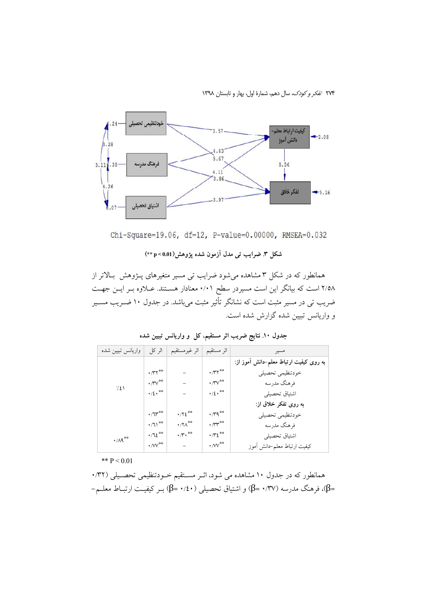۲۷۴ تفکر و کودک، سال دهم، شمارهٔ اول، بهار و تابستان ۱۳۹۸



Chi-Square=19.06, df=12, P-value=0.00000, RMSEA=0.032

#### شکل ۳. ضرایب تمی مدل آزمون شده یژوهش(p<0.01+)

همانطور که در شکل ۳ مشاهده میشود ضرایب تی مسیر متغیرهای پـژوهش بـالاتر از ۲/۵۸ است که بیانگر این است مسیردر سطح ۰/۰۱ معنادار هستند. عـلاوه بـر ایـن جهـت ضریب تی در مسیر مثبت است که نشانگر تأثیر مثبت میباشد. در جدول ۱۰ ضــریب مســیر و واریانس تبیین شده گزارش شده است.

| واريانس تبيين شده                  | اثر کل                          | اثر غيرمستقيم                                | اثر مستقيم                        | مسير                                   |
|------------------------------------|---------------------------------|----------------------------------------------|-----------------------------------|----------------------------------------|
|                                    |                                 |                                              |                                   | به روی کیفیت ارتباط معلم–دانش آموز از: |
|                                    | $\cdot$ / $\gamma$ **           |                                              | $\cdot$ / $\uparrow$ $\uparrow$   | خودتنظيمي تحصيلي                       |
| 7.21                               | $\cdot$ / $\sqrt[n]{\ }$        |                                              | $\cdot$ / $\mathsf{v}^{\ast\ast}$ | فرهنگ مدرسه                            |
|                                    | $\cdot/2 \cdot$ **              |                                              | $\cdot/2 \cdot$ <sup>**</sup>     | اشتياق تحصيلي                          |
|                                    |                                 |                                              |                                   | به روی تفکر خلاق از:                   |
|                                    | $\cdot/\mathfrak{A}^{\ast\ast}$ | $\cdot$ / $\cdot$ / $\epsilon$ <sup>**</sup> | $\cdot \pi$ 9**                   | خودتنظيمي تحصيلي                       |
|                                    | $\cdot$ / 1) <sup>**</sup>      | $\cdot$ /۲ $\wedge$ <sup>**</sup>            | $\cdot \pi^{**}$                  | فرهنگ مدرسه                            |
| $\cdot$ / $\wedge$ 9 <sup>**</sup> | $.712***$                       | $\cdot$ / $\cdot$ **                         | $\cdot \pi i$                     | اشتياق تحصيلي                          |
|                                    | $\cdot$ /VV $^{\ast\ast}$       |                                              | $\cdot$ /VV $^{\ast\ast}$         | كيفيت ارتباط معلم-دانش آموز            |

جدول ۱۰ نتایج ضریب اثر مستقیم، کل و واریانس تبیین شده

\*\*  $P < 0.01$ 

همانطور که در جدول ۱۰ مشاهده می شود، اثـر مسـتقیم خــودتنظیمی تحصـیلی (۰٬۳۲ =β)، فرهنگ مدرسه (۰/٣٧ =β) و اشتياق تحصيلي (۱/٤٠ =β) بــر كيفيــت ارتبــاط معلــم−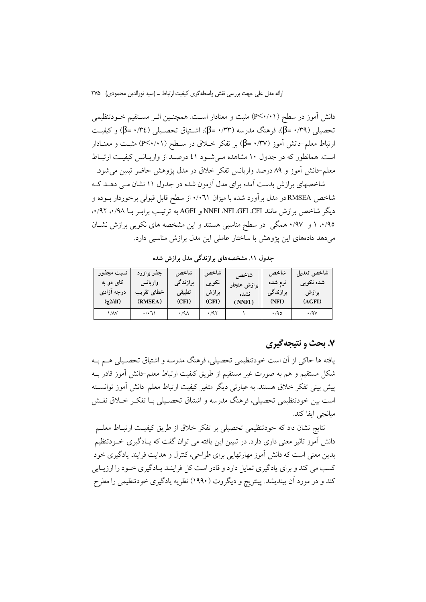دانش آموز در سطح (P<۰/۰۱) مثبت و معنادار اسـت. همچنـین اثـر مسـتقیم خــودتنظیمی تحصیلی (۰/٣٩ =β)، فرهنگ مدرسه (۰/٣٣ =β)، اشــتیاق تحصــیلی (۰/٣٤ =β) و کیفیــت ارتباط معلم–دانش آموز (β= ۰/۳۷) بر تفکر خــلاق در ســطح (P<۰/۰۱) مثبـت و معنــادار است. همانطور که در جدول ۱۰ مشاهده می شود ٤١ درصد از واریـانس کیفیـت ارتبـاط معلم–دانش اَموز و ۸۹ درصد واریانس تفکر خلاق در مدل پژوهش حاضر تبیین می شود.

شاخصهای برازش بدست آمده برای مدل آزمون شده در جدول ۱۱ نشان مبی دهــد کــه شاخص RMSEA در مدل بر آورد شده با میزان ۰/۰٦۱ از سطح قابل قبولی برخوردار بــوده و دیگر شاخص برازش مانند NNFI NFI GFI CFI و AGFI به ترتیب برابـر بــا ۰/۹۸، ۰/۹۲. ۰/۹۵ ا و ۰/۹۷ همگی در سطح مناسبی هستند و این مشخصه های نکویی برازش نشـان می دهد دادههای این پژوهش با ساختار عاملی این مدل برازش مناسبی دارد.

جدول ١١. مشخصههای برازندگی مدل برازش شده

| نسبت مجذور      | جذر براورد | شاخص                | شاخص  | شاخص        | شاخص                | أشاخص تعديل       |
|-----------------|------------|---------------------|-------|-------------|---------------------|-------------------|
| کای دو به       | واريانس    | ِ برازن <i>د گی</i> | نكويي | برازش هنجار | نرم شده             | شده نکویبی        |
| درجه آزادی      | خطاى تقريب | تطبيقى              | برازش | نشده        | ِ برازن <i>د گی</i> | برازش             |
| $(\gamma 2/df)$ | (RMSEA)    | (CFI)               | (GFI) | (NNFI)      | (NFI)               | (AGFI)            |
| ۱/۸۷            | ۰/۰٦۱      | $\cdot$ /9 $\wedge$ | .797  |             | $\cdot$ /90         | $\cdot$ /9 $\vee$ |

### ۷. بحث و نتیجهگیری

یافته ها حاکی از آن است خودتنظیمی تحصیلی، فرهنگ مدرسه و اشتیاق تحصـیلی هــم بــه شکل مستقیم و هم به صورت غیر مستقیم از طریق کیفیت ارتباط معلم–دانش آموز قادر بــه پیش بینی تفکر خلاق هستند. به عبارتی دیگر متغیر کیفیت ارتباط معلم-دانش آموز توانسـته است بین خودتنظیمی تحصیلی، فرهنگ مدرسه و اشتیاق تحصـیلی بـا تفکـر خــلاق نقــش مبانجي ايفا كند.

نتايج نشان داد كه خودتنظيمي تحصيلي بر تفكر خلاق از طريق كيفيـت ارتبــاط معلــم− دانش آموز تاثیر معنی داری دارد. در تبیین این یافته می توان گفت که پـادگیری خــودتنظیم بدین معنی است که دانش آموز مهارتهایی برای طراحی، کنترل و هدایت فرایند یادگیری خود کسب می کند و برای یادگیری تمایل دارد و قادر است کل فراینـد یـادگیری خـود را ارزیـابی کند و در مورد آن بیندیشد. پینتریچ و دیگروت (۱۹۹۰) نظریه یادگیری خودتنظیمی را مطرح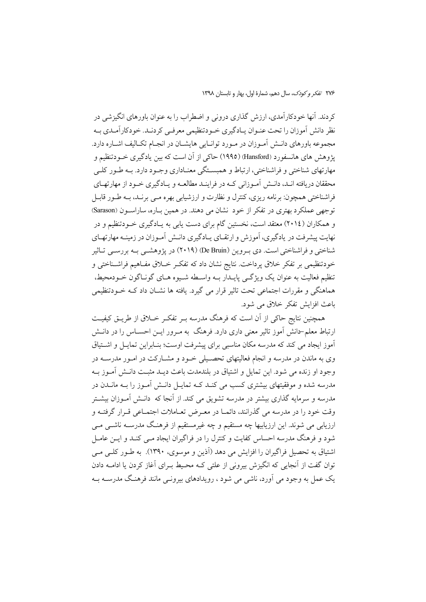کردند. آنها خودکارآمدی، ارزش گذاری درونی و اضطراب را به عنوان باورهای انگیزشی در نظر دانش آموزان را تحت عنـوان يـادگيري خـودتنظيمي معرفـي كردنـد. خودكارآمـدي بـه مجموعه باورهاي دانـش أمـوزان در مـورد توانـايي هايشـان در انجـام تكـاليف اشـاره دارد. یژوهش های هانسفورد (Hansford) (۱۹۹۵) حاکی از آن است که بین یادگیری خــودتنظیم و مهارتهاي شناختي و فراشناختي، ارتباط و همبسـتگي معنـاداري وجـود دارد. بــه طـور كلـي محققان دریافته انـد، دانـش آمـوزانی کـه در فراینـد مطالعـه و پـادگیری خـود از مهارتهـای فراشناختی همچون: برنامه ریزی، کنترل و نظارت و ارزشیابی بهره مــی برنــد، بــه طــور قابــل توجهي عملكرد بهتري در تفكر از خود نشان مي دهند. در همين بـاره، ساراســون (Sarason) و همکاران (٢٠١٤) معتقد است، نخستین گام برای دست پابی به پـادگیری خـودتنظیم و در نهایت پیشرفت در یادگیری، آموزش و ارتقـای پـادگیری دانـش آمـوزان در زمینـه مهارتهـای شناختی و فراشناختی است. دی بـروین (De Bruin) (۲۰۱۹) در پژوهشــی بـه بررســی تــاثیر خودتنظيمي بر تفكر خلاق يرداخت. نتايج نشان داد كه تفكـر خــلاق مفــاهيم فراشــناختي و تنظیم فعالیت به عنوان یک ویژگی پایـدار بــه واسـطه شــیوه هــای گونــاگون خــودمحیط، هماهنگی و مقررات اجتماعی تحت تاثیر قرار می گیرد. یافته ها نشــان داد کــه خــودتنظیمی باعث افزايش تفكر خلاق مي شود.

همچنین نتایج حاکی از آن است که فرهنگ مدرسه بـر تفکـر خــلاق از طریــق کیفیــت ارتباط معلم–دانش آموز تاثیر معنی داری دارد. فرهنگ به مـرور ایــن احســاس را در دانــش ۔<br>اَموز ایجاد می کند که مدرسه مکان مناسبی برای پیشرفت اوست؛ بنـابراین تمایـل و اشـتیاق وی به ماندن در مدرسه و انجام فعالیتهای تحصیلی خیود و مشیارکت در امیور مدرسیه در وجود او زنده می شود. این تمایل و اشتیاق در بلندمدت باعث دیـد مثبـت دانـش آمـوز بـه مدرسه شده و موفقیتهای بیشتری کسب می کنـد کــه تمایــل دانــش آمــوز را بــه مانــدن در مدرسه و سرمایه گذاری بیشتر در مدرسه تشویق می کند. از آنجا که دانــش آمــوزان بیشــتر وقت خود را در مدرسه می گذرانند، دائمــا در معـرض تعــاملات اجتمــاعی قــرار گرفتــه و ارزیابی می شوند. این ارزیابیها چه مستقیم و چه غیرمستقیم از فرهنگ مدرسـه ناشــی مــی شود و فرهنگ مدرسه احساس کفایت و کنترل را در فراگیران ایجاد مـی کنـد و ایــن عامــل اشتیاق به تحصیل فراگیران را افزایش می دهد (آذین و موسوی، ۱۳۹۰). به طـور کلـی مـی توان گفت از آنجایی که انگیزش بیرونی از علتی کـه محـیط بـرای آغاز کردن یا ادامــه دادن یک عمل به وجود می آورد، ناشی می شود ، رویدادهای بیرونبی مانند فرهنگ مدرســه بــه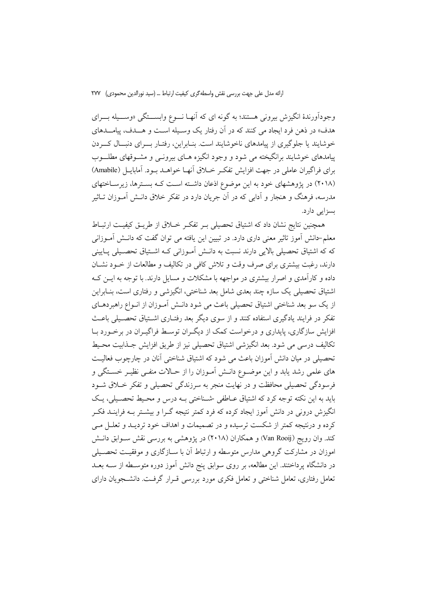وجوداًورندهٔ انگیزش بیرونی هستند؛ به گونه ای که اّنهـا نـــوع وابســـتگی «وســـیله بـــرای هدف» در ذهن فرد ایجاد می کنند که در آن رفتار یک وسـیله اسـت و هـــدف، پیامـــدهای خوشایند یا جلوگیری از پیامدهای ناخوشایند است. بنـابراین، رفتـار بــرای دنبــال کـــردن پیامدهای خوشایند برانگیخته می شود و وجود انگیزه هـای بیرونــی و مشــوقهای مطلـــوب براي فراگيران عاملي در جهت افزايش تفكير خبلاق آنهيا خواهيد بيود. آماباييل (Amabile) (۲۰۱۸) در پژوهشهای خود به این موضوع اذعان داشته است کـه بسـترها، زیرسـاختهای مدرسه، فرهنگ و هنجار و اَدابی که در اَن جریان دارد در تفکر خلاق دانــش اَمــوزان تــاثیر بسزایی دارد.

همچنین نتایج نشان داد که اشتیاق تحصیلی بـر تفکـر خــلاق از طریــق کیفیــت ارتبــاط معلم–دانش آموز تاثیر معنی داری دارد. در تبیین این یافته می توان گفت که دانــش آمــوزانی که که اشتیاق تحصیلی بالایی دارند نسبت به دانــش آمــوزانی کــه اشــتیاق تحصــیلی پــایینی دارند، رغبت بیشتری برای صرف وقت و تلاش کافی در تکالیف و مطالعات از خــود نشــان داده و کارآمدی و اصرار بیشتری در مواجهه با مشکلات و مسایل دارند. با توجه به ایــن کــه اشتیاق تحصیلی یک سازه چند بعدی شامل بعد شناختی، انگیزشی و رفتاری است، بنـابراین از یک سو بعد شناختی اشتیاق تحصیلی باعث می شود دانـش آمـوزان از انـواع راهبردهـای تفکر در فرایند یادگیری استفاده کنند و از سوی دیگر بعد رفتـاری اشـتیاق تحصـیلی باعـث افزایش سازگاری، پایداری و درخواست کمک از دیگران توسط فراگیـران در برخـورد بــا تكاليف درسي مي شود. بعد انگيزشي اشتياق تحصيلي نيز از طريق افزايش جــذابيت محـيط تحصیلی در میان دانش آموزان باعث می شود که اشتباق شناختی آنان در چارچوب فعالیت های علمی رشد یابد و این موضـوع دانـش آمـوزان را از حـالات منفـی نظیـر خسـتگی و فرسودگی تحصیلی محافظت و در نهایت منجر به سرزندگی تحصیلی و تفکر خــلاق شــود بابد به این نکته توجه کرد که اشتباق عباطفی -شیناختی پیه درس و محیط تحصیلی، یک انگیزش درونی در دانش آموز ایجاد کرده که فرد کمتر نتیجه گــرا و بیشــتر بــه فراینــد فکــر کرده و درنتیجه کمتر از شکست ترسیده و در تصمیمات و اهداف خود تردیـد و تعلــل مــی کند. وان رویج (Van Rooij) و همکاران (۲۰۱۸) در پژوهشی به بررسی نقش سـوابق دانـش اموزان در مشارکت گروهی مدارس متوسطه و ارتباط آن با سـازگاری و موفقیـت تحصـیلی در دانشگاه پرداختند. این مطالعه، بر روی سوابق پنج دانش آموز دوره متوسـطه از ســه بعــد تعامل رفتاری، تعامل شناختی و تعامل فکری مورد بررسی قـرار گرفـت. دانشــجویان دارای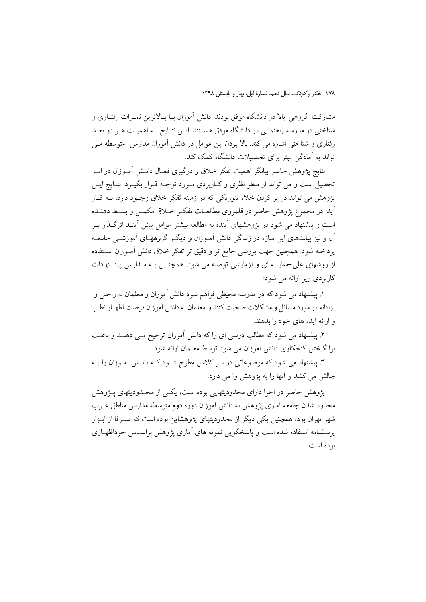٢٧٨ تفكر وكودك، سال دهم، شمارة اول، بهار و تابستان ١٣٩٨

مشارکت گروهی بالا در دانشگاه موفق بودند. دانش آموزان بـا بـالاترین نمـرات رفتـاری و شناختی در مدرسه راهنمایی در دانشگاه موفق هسـتند. ایــن نتــایج بــه اهمیــت هــر دو بعــد رفتاری و شناختی اشاره می کند. بالا بودن این عوامل در دانش آموزان مدارس متوسطه مـی تواند به آمادگی بهتر برای تحصیلات دانشگاه کمک کند.

نتایج پژوهش حاضر بیانگر اهمیت تفکر خلاق و درگیری فعـال دانــش آمــوزان در امــر تحصیل است و می تواند از منظر نظری و کـاربردی مـورد توجـه قـرار بگیـرد. نتـایج ایــن یژوهش می تواند در بر کردن خلاء تئوریکی که در زمینه تفکر خلاق وجـود دارد، بــه کــار .<br>آید. در مجموع یژوهش حاضر در قلمروی مطالعـات تفکـر خــلاق مکمــل و بســط دهنــده است و پیشنهاد می شود در پژوهشهای آینده به مطالعه بیشتر عوامل پیش آینـد اثرگـذار بـر آن و نیز پیامدهای این سازه در زندگی دانش آمـوزان و دیگـر گروههـای آموزشــی جامعــه پرداخته شود. همچنین جهت بررسی جامع تر و دقیق تر تفکر خلاق دانش آمـوزان اســتفاده از روشهای علی حقایسه ای و آزمایشی توصیه می شود. همچنـین بـه مـدارس پیشـنهادات کاربردی زیر ارائه می شود:

۱. پیشنهاد می شود که در مدرسه محیطی فراهم شود دانش آموزان و معلمان به راحتی و أزادانه در مورد مسائل و مشكلات صحبت كنند و معلمان به دانش آموزان فرصت اظهـار نظـر و ارائه ايده هاي خود را بدهند.

۲. پیشنهاد می شود که مطالب درسی ای را که دانش آموزان ترجیح مـی دهنـد و باعـث برانگیختن کنجکاوی دانش آموزان می شود توسط معلمان ارائه شود.

۳. پیشنهاد می شود که موضوعاتی در سر کلاس مطرح شـود کــه دانــش آمــوزان را بــه چالش می کشد و آنها را به پژوهش وا می دارد.

پژوهش حاضر در اجرا دارای محدودیتهایی بوده است، یکـی از محـدودیتهای پـژوهش محدود شدن جامعه آماری پژوهش به دانش آموزان دوره دوم متوسطه مدارس مناطق غــرب شهر تهران بود، همچنین یکی دیگر از محدودیتهای پژوهشاین بوده است که صـرفا از ابـزار یرسشنامه استفاده شده است و پاسخگویی نمونه های آماری پژوهش براسـاس خوداظهـاری بو ده است.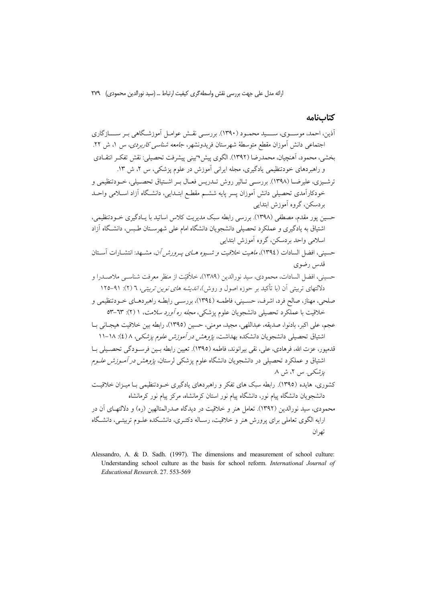ارائه مدل على جهت بررسي نقش واسطه گري كيفيت ارتباط ... (سيد نورالدين محمودي) ٢٧٩

# كتابنامه

Alessandro, A. & D. Sadh. (1997). The dimensions and measurement of school culture: Understanding school culture as the basis for school reform. International Journal of Educational Research. 27. 553-569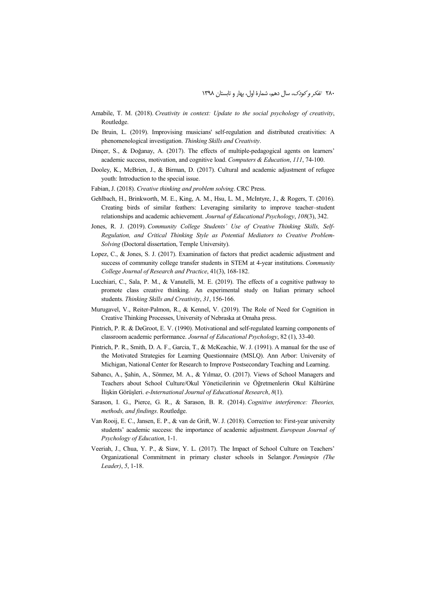- Amabile, T. M. (2018). *Creativity in context: Update to the social psychology of creativity*, Routledge.
- De Bruin, L. (2019). Improvising musicians' self-regulation and distributed creativities: A phenomenological investigation. *Thinking Skills and Creativity*.
- Dinçer, S., & Doğanay, A. (2017). The effects of multiple-pedagogical agents on learners' academic success, motivation, and cognitive load. *Computers & Education*, *111*, 74-100.
- Dooley, K., McBrien, J., & Birman, D. (2017). Cultural and academic adjustment of refugee youth: Introduction to the special issue.
- Fabian, J. (2018). *Creative thinking and problem solving*. CRC Press.
- Gehlbach, H., Brinkworth, M. E., King, A. M., Hsu, L. M., McIntyre, J., & Rogers, T. (2016). Creating birds of similar feathers: Leveraging similarity to improve teacher–student relationships and academic achievement. *Journal of Educational Psychology*, *108*(3), 342.
- Jones, R. J. (2019). *Community College Students' Use of Creative Thinking Skills, Self-Regulation, and Critical Thinking Style as Potential Mediators to Creative Problem-Solving* (Doctoral dissertation, Temple University).
- Lopez, C., & Jones, S. J. (2017). Examination of factors that predict academic adjustment and success of community college transfer students in STEM at 4-year institutions. *Community College Journal of Research and Practice*, 41(3), 168-182.
- Lucchiari, C., Sala, P. M., & Vanutelli, M. E. (2019). The effects of a cognitive pathway to promote class creative thinking. An experimental study on Italian primary school students. *Thinking Skills and Creativity*, *31*, 156-166.
- Murugavel, V., Reiter-Palmon, R., & Kennel, V. (2019). The Role of Need for Cognition in Creative Thinking Processes, University of Nebraska at Omaha press.
- Pintrich, P. R. & DeGroot, E. V. (1990). Motivational and self-regulated learning components of classroom academic performance. *Journal of Educational Psychology*, 82 (1), 33-40.
- Pintrich, P. R., Smith, D. A. F., Garcia, T., & McKeachie, W. J. (1991). A manual for the use of the Motivated Strategies for Learning Questionnaire (MSLQ). Ann Arbor: University of Michigan, National Center for Research to Improve Postsecondary Teaching and Learning.
- Sabancı, A., Şahin, A., Sönmez, M. A., & Yılmaz, O. (2017). Views of School Managers and Teachers about School Culture/Okul Yöneticilerinin ve Öğretmenlerin Okul Kültürüne İlişkin Görüşleri. *e-International Journal of Educational Research*, *8*(1).
- Sarason, I. G., Pierce, G. R., & Sarason, B. R. (2014). *Cognitive interference: Theories, methods, and findings*. Routledge.
- Van Rooij, E. C., Jansen, E. P., & van de Grift, W. J. (2018). Correction to: First-year university students' academic success: the importance of academic adjustment. *European Journal of Psychology of Education*, 1-1.
- Veeriah, J., Chua, Y. P., & Siaw, Y. L. (2017). The Impact of School Culture on Teachers' Organizational Commitment in primary cluster schools in Selangor. *Pemimpin (The Leader)*, *5*, 1-18.